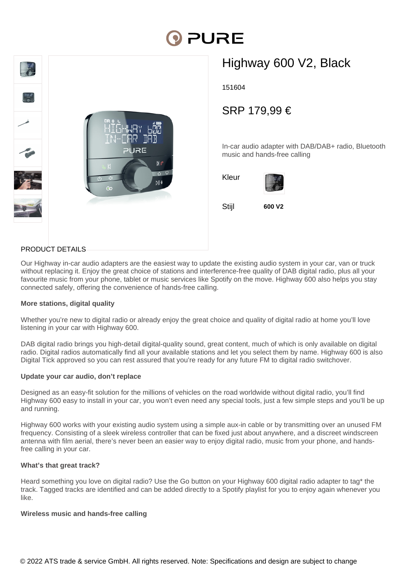# **DI PURE**



## Highway 600 V2, Black

151604

### SRP 179,99 €

In-car audio adapter with DAB/DAB+ radio, Bluetooth music and hands-free calling



#### PRODUCT DETAILS

Our Highway in-car audio adapters are the easiest way to update the existing audio system in your car, van or truck without replacing it. Enjoy the great choice of stations and interference-free quality of DAB digital radio, plus all your favourite music from your phone, tablet or music services like Spotify on the move. Highway 600 also helps you stay connected safely, offering the convenience of hands-free calling.

#### **More stations, digital quality**

Whether you're new to digital radio or already enjoy the great choice and quality of digital radio at home you'll love listening in your car with Highway 600.

DAB digital radio brings you high-detail digital-quality sound, great content, much of which is only available on digital radio. Digital radios automatically find all your available stations and let you select them by name. Highway 600 is also Digital Tick approved so you can rest assured that you're ready for any future FM to digital radio switchover.

#### **Update your car audio, don't replace**

Designed as an easy-fit solution for the millions of vehicles on the road worldwide without digital radio, you'll find Highway 600 easy to install in your car, you won't even need any special tools, just a few simple steps and you'll be up and running.

Highway 600 works with your existing audio system using a simple aux-in cable or by transmitting over an unused FM frequency. Consisting of a sleek wireless controller that can be fixed just about anywhere, and a discreet windscreen antenna with film aerial, there's never been an easier way to enjoy digital radio, music from your phone, and handsfree calling in your car.

#### **What's that great track?**

Heard something you love on digital radio? Use the Go button on your Highway 600 digital radio adapter to tag\* the track. Tagged tracks are identified and can be added directly to a Spotify playlist for you to enjoy again whenever you like.

#### **Wireless music and hands-free calling**